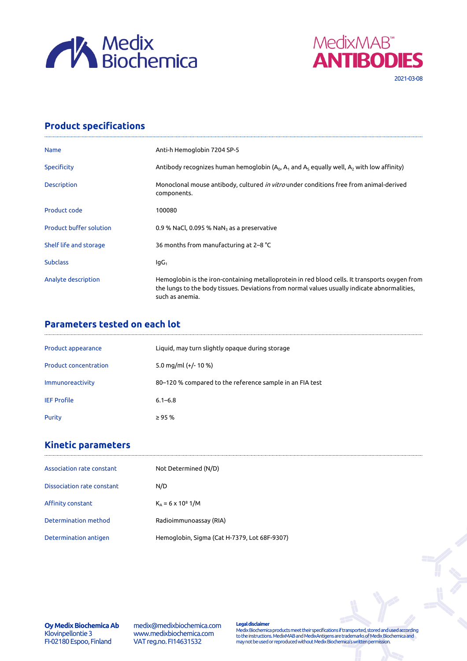



## **Product specifications**

| <b>Name</b>                    | Anti-h Hemoglobin 7204 SP-5                                                                                                                                                                                       |
|--------------------------------|-------------------------------------------------------------------------------------------------------------------------------------------------------------------------------------------------------------------|
| Specificity                    | Antibody recognizes human hemoglobin ( $A_0$ , $A_1$ and $A_5$ equally well, $A_2$ with low affinity)                                                                                                             |
| <b>Description</b>             | Monoclonal mouse antibody, cultured <i>in vitro</i> under conditions free from animal-derived<br>components.                                                                                                      |
| Product code                   | 100080                                                                                                                                                                                                            |
| <b>Product buffer solution</b> | 0.9 % NaCl, 0.095 % NaN <sub>3</sub> as a preservative                                                                                                                                                            |
| Shelf life and storage         | 36 months from manufacturing at 2-8 °C                                                                                                                                                                            |
| <b>Subclass</b>                | $IqG_1$                                                                                                                                                                                                           |
| Analyte description            | Hemoglobin is the iron-containing metalloprotein in red blood cells. It transports oxygen from<br>the lungs to the body tissues. Deviations from normal values usually indicate abnormalities,<br>such as anemia. |

### **Parameters tested on each lot**

| Product appearance           | Liquid, may turn slightly opaque during storage          |
|------------------------------|----------------------------------------------------------|
| <b>Product concentration</b> | 5.0 mg/ml $(+/- 10 %$                                    |
| Immunoreactivity             | 80–120 % compared to the reference sample in an FIA test |
| <b>IEF Profile</b>           | $6.1 - 6.8$                                              |
| Purity                       | $\geq$ 95 %                                              |

# **Kinetic parameters**

| Association rate constant  | Not Determined (N/D)                         |
|----------------------------|----------------------------------------------|
| Dissociation rate constant | N/D                                          |
| Affinity constant          | $K_{A} = 6 \times 10^{8}$ 1/M                |
| Determination method       | Radioimmunoassay (RIA)                       |
| Determination antigen      | Hemoglobin, Sigma (Cat H-7379, Lot 68F-9307) |

**Oy Medix Biochemica Ab** Klovinpellontie 3 FI-02180 Espoo, Finland

medix@medixbiochemica.com www.medixbiochemica.com VAT reg.no. FI14631532

**Legal disclaimer** Medix Biochemica products meet their specifications if transported, stored and used according to the instructions. MedixMAB and MedixAntigens are trademarks of Medix Biochemica and may not be used or reproduced without Medix Biochemica's written permission.